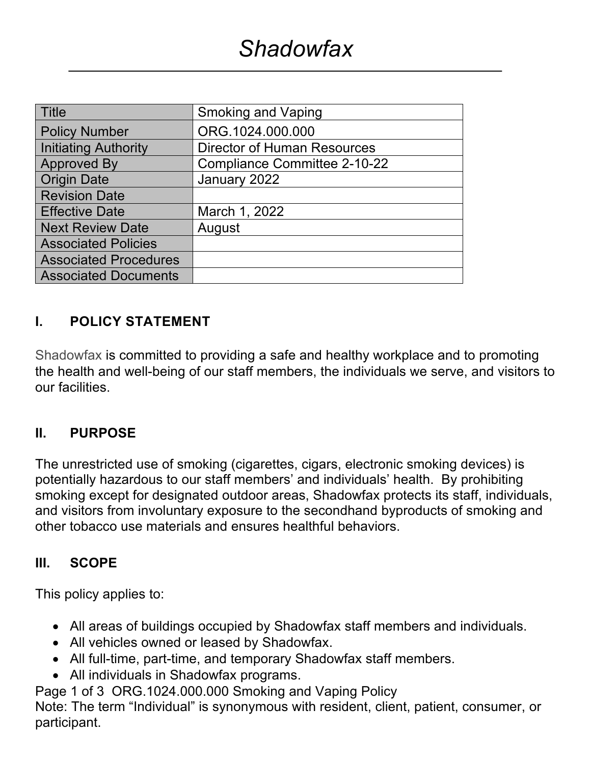| <b>Title</b>                 | <b>Smoking and Vaping</b>           |
|------------------------------|-------------------------------------|
| <b>Policy Number</b>         | ORG.1024.000.000                    |
| <b>Initiating Authority</b>  | <b>Director of Human Resources</b>  |
| <b>Approved By</b>           | <b>Compliance Committee 2-10-22</b> |
| <b>Origin Date</b>           | January 2022                        |
| <b>Revision Date</b>         |                                     |
| <b>Effective Date</b>        | March 1, 2022                       |
| <b>Next Review Date</b>      | August                              |
| <b>Associated Policies</b>   |                                     |
| <b>Associated Procedures</b> |                                     |
| <b>Associated Documents</b>  |                                     |

#### **I. POLICY STATEMENT**

Shadowfax is committed to providing a safe and healthy workplace and to promoting the health and well-being of our staff members, the individuals we serve, and visitors to our facilities.

#### **II. PURPOSE**

The unrestricted use of smoking (cigarettes, cigars, electronic smoking devices) is potentially hazardous to our staff members' and individuals' health. By prohibiting smoking except for designated outdoor areas, Shadowfax protects its staff, individuals, and visitors from involuntary exposure to the secondhand byproducts of smoking and other tobacco use materials and ensures healthful behaviors.

#### **III. SCOPE**

This policy applies to:

- All areas of buildings occupied by Shadowfax staff members and individuals.
- All vehicles owned or leased by Shadowfax.
- All full-time, part-time, and temporary Shadowfax staff members.
- All individuals in Shadowfax programs.

Page 1 of 3 ORG.1024.000.000 Smoking and Vaping Policy

Note: The term "Individual" is synonymous with resident, client, patient, consumer, or participant.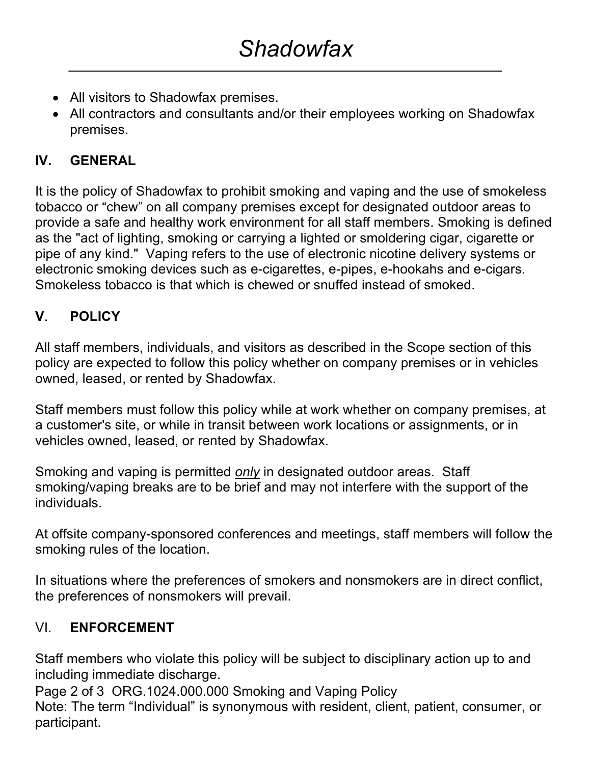- All visitors to Shadowfax premises.
- All contractors and consultants and/or their employees working on Shadowfax premises.

## **IV. GENERAL**

It is the policy of Shadowfax to prohibit smoking and vaping and the use of smokeless tobacco or "chew" on all company premises except for designated outdoor areas to provide a safe and healthy work environment for all staff members. Smoking is defined as the "act of lighting, smoking or carrying a lighted or smoldering cigar, cigarette or pipe of any kind." Vaping refers to the use of electronic nicotine delivery systems or electronic smoking devices such as e-cigarettes, e-pipes, e-hookahs and e-cigars. Smokeless tobacco is that which is chewed or snuffed instead of smoked.

# **V**. **POLICY**

All staff members, individuals, and visitors as described in the Scope section of this policy are expected to follow this policy whether on company premises or in vehicles owned, leased, or rented by Shadowfax.

Staff members must follow this policy while at work whether on company premises, at a customer's site, or while in transit between work locations or assignments, or in vehicles owned, leased, or rented by Shadowfax.

Smoking and vaping is permitted *only* in designated outdoor areas. Staff smoking/vaping breaks are to be brief and may not interfere with the support of the individuals.

At offsite company-sponsored conferences and meetings, staff members will follow the smoking rules of the location.

In situations where the preferences of smokers and nonsmokers are in direct conflict, the preferences of nonsmokers will prevail.

## VI. **ENFORCEMENT**

Staff members who violate this policy will be subject to disciplinary action up to and including immediate discharge.

Page 2 of 3 ORG.1024.000.000 Smoking and Vaping Policy

Note: The term "Individual" is synonymous with resident, client, patient, consumer, or participant.